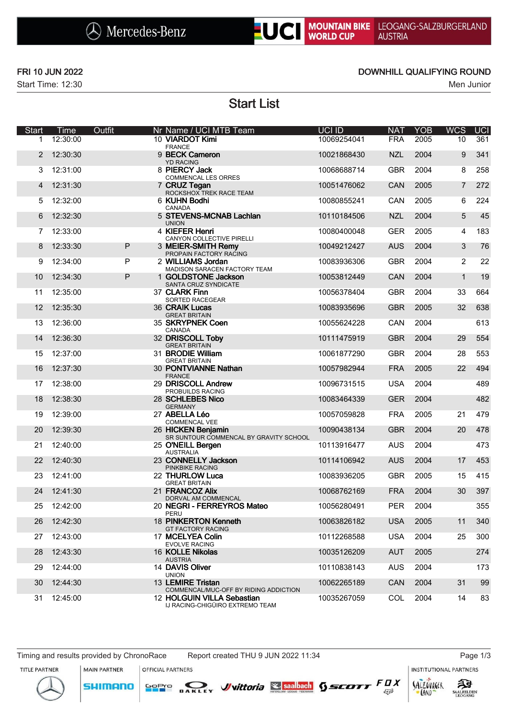# UC MOUNTAIN BIKE LEOGANG-SALZBURGERLAND<br>WORLD CUP AUSTRIA

Start Time: 12:30 Men Junior

### FRI 10 JUN 2022 DOWNHILL QUALIFYING ROUND

Start List

| Start | Time     | Outfit      | Nr Name / UCI MTB Team                            |                                                                          | <b>UCI ID</b> | <b>NAT</b> | <b>YOB</b> | <b>WCS</b>     | <b>UCI</b> |
|-------|----------|-------------|---------------------------------------------------|--------------------------------------------------------------------------|---------------|------------|------------|----------------|------------|
| 1     | 12:30:00 |             | 10 VIARDOT Kimi<br><b>FRANCE</b>                  |                                                                          | 10069254041   | <b>FRA</b> | 2005       | 10             | 361        |
| 2     | 12:30:30 |             | 9 BECK Cameron<br><b>YD RACING</b>                |                                                                          | 10021868430   | <b>NZL</b> | 2004       | 9              | 341        |
| 3     | 12:31:00 |             | 8 PIERCY Jack<br><b>COMMENCAL LES ORRES</b>       |                                                                          | 10068688714   | <b>GBR</b> | 2004       | 8              | 258        |
| 4     | 12:31:30 |             | 7 CRUZ Tegan<br>ROCKSHOX TREK RACE TEAM           |                                                                          | 10051476062   | CAN        | 2005       | $\overline{7}$ | 272        |
| 5     | 12:32:00 |             | 6 KUHN Bodhi<br>CANADA                            |                                                                          | 10080855241   | CAN        | 2005       | 6              | 224        |
| 6     | 12:32:30 |             | 5 STEVENS-MCNAB Lachlan<br><b>UNION</b>           |                                                                          | 10110184506   | <b>NZL</b> | 2004       | 5              | 45         |
| 7     | 12:33:00 |             | 4 KIEFER Henri<br>CANYON COLLECTIVE PIRELLI       |                                                                          | 10080400048   | <b>GER</b> | 2005       | 4              | 183        |
| 8     | 12:33:30 | $\mathsf P$ | 3 MEIER-SMITH Remy<br>PROPAIN FACTORY RACING      |                                                                          | 10049212427   | <b>AUS</b> | 2004       | 3              | 76         |
| 9     | 12:34:00 | P           | 2 WILLIAMS Jordan                                 | MADISON SARACEN FACTORY TEAM                                             | 10083936306   | <b>GBR</b> | 2004       | $\overline{2}$ | 22         |
| 10    | 12:34:30 | P           | 1 GOLDSTONE Jackson<br>SANTA CRUZ SYNDICATE       |                                                                          | 10053812449   | CAN        | 2004       | $\mathbf{1}$   | 19         |
| 11    | 12:35:00 |             | 37 CLARK Finn<br>SORTED RACEGEAR                  |                                                                          | 10056378404   | <b>GBR</b> | 2004       | 33             | 664        |
| 12    | 12:35:30 |             | 36 CRAIK Lucas<br><b>GREAT BRITAIN</b>            |                                                                          | 10083935696   | <b>GBR</b> | 2005       | 32             | 638        |
| 13    | 12:36:00 |             | 35 SKRYPNEK Coen<br>CANADA                        |                                                                          | 10055624228   | CAN        | 2004       |                | 613        |
| 14    | 12:36:30 |             | 32 DRISCOLL Toby<br><b>GREAT BRITAIN</b>          |                                                                          | 10111475919   | <b>GBR</b> | 2004       | 29             | 554        |
| 15    | 12:37:00 |             | 31 BRODIE William<br><b>GREAT BRITAIN</b>         |                                                                          | 10061877290   | <b>GBR</b> | 2004       | 28             | 553        |
| 16    | 12:37:30 |             | 30 PONTVIANNE Nathan<br><b>FRANCE</b>             |                                                                          | 10057982944   | <b>FRA</b> | 2005       | 22             | 494        |
| 17    | 12:38:00 |             | 29 DRISCOLL Andrew<br>PROBUILDS RACING            |                                                                          | 10096731515   | <b>USA</b> | 2004       |                | 489        |
| 18    | 12:38:30 |             | 28 SCHLEBES Nico<br><b>GERMANY</b>                |                                                                          | 10083464339   | <b>GER</b> | 2004       |                | 482        |
| 19    | 12:39:00 |             | 27 ABELLA Léo<br><b>COMMENCAL VEE</b>             |                                                                          | 10057059828   | <b>FRA</b> | 2005       | 21             | 479        |
| 20    | 12:39:30 |             | 26 HICKEN Benjamin                                | SR SUNTOUR COMMENCAL BY GRAVITY SCHOOL                                   | 10090438134   | <b>GBR</b> | 2004       | 20             | 478        |
| 21    | 12:40:00 |             | 25 O'NEILL Bergen<br><b>AUSTRALIA</b>             |                                                                          | 10113916477   | <b>AUS</b> | 2004       |                | 473        |
| 22    | 12:40:30 |             | 23 CONNELLY Jackson                               |                                                                          | 10114106942   | <b>AUS</b> | 2004       | 17             | 453        |
| 23    | 12:41:00 |             | PINKBIKE RACING<br>22 THURLOW Luca                |                                                                          | 10083936205   | <b>GBR</b> | 2005       | 15             | 415        |
| 24    | 12:41:30 |             | <b>GREAT BRITAIN</b><br>21 FRANCOZ Alix           |                                                                          | 10068762169   | <b>FRA</b> | 2004       | 30             | 397        |
| 25    | 12:42:00 |             | DORVAL AM COMMENCAL<br>20 NEGRI - FERREYROS Mateo |                                                                          | 10056280491   | <b>PER</b> | 2004       |                | 355        |
| 26    | 12:42:30 |             | PERU<br>18 PINKERTON Kenneth                      |                                                                          | 10063826182   | <b>USA</b> | 2005       | 11             | 340        |
| 27    | 12:43:00 |             | <b>GT FACTORY RACING</b><br>17 MCELYEA Colin      |                                                                          | 10112268588   | <b>USA</b> | 2004       | 25             | 300        |
| 28    | 12:43:30 |             | <b>EVOLVE RACING</b><br>16 KOLLE Nikolas          |                                                                          | 10035126209   | <b>AUT</b> | 2005       |                | 274        |
| 29    | 12:44:00 |             | <b>AUSTRIA</b><br>14 DAVIS Oliver                 |                                                                          | 10110838143   | AUS        | 2004       |                | 173        |
| 30    | 12:44:30 |             | <b>UNION</b><br>13 LEMIRE Tristan                 |                                                                          | 10062265189   | CAN        | 2004       | 31             | 99         |
| 31    | 12:45:00 |             | 12 HOLGUIN VILLA Sebastian                        | COMMENCAL/MUC-OFF BY RIDING ADDICTION<br>IJ RACING-CHIGÜIRO EXTREMO TEAM | 10035267059   | <b>COL</b> | 2004       | 14             | 83         |

MAIN PARTNER

**SHIMANO** 

OFFICIAL PARTNERS

SOPIO DAKLEY Vittoria & saabach SSCOTT FUX

**INSTITUTIONAL PARTNERS** 





LAND

 $53$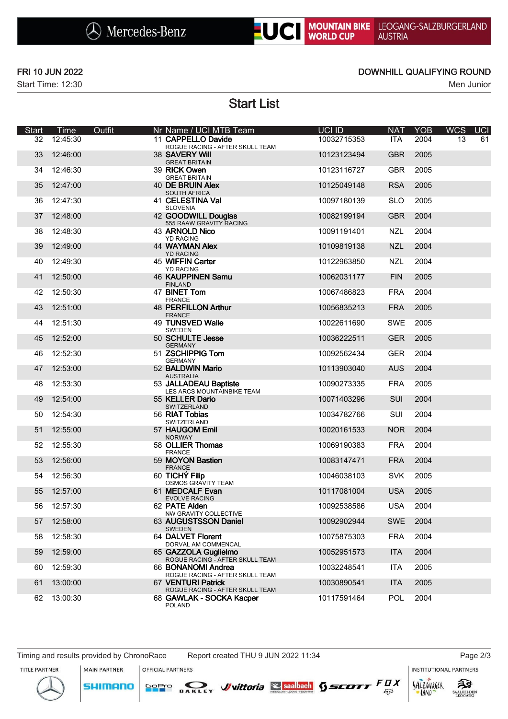

## **UC** MOUNTAIN BIKE **AUSTRIA**

Start Time: 12:30 Men Junior

### FRI 10 JUN 2022 DOWNHILL QUALIFYING ROUND

Start List

| <b>Start</b> | Time     | Outfit | Nr Name / UCI MTB Team                                  | UCI ID      | <b>NAT</b> | <b>YOB</b> | <b>WCS</b> | <b>UCI</b> |
|--------------|----------|--------|---------------------------------------------------------|-------------|------------|------------|------------|------------|
| 32           | 12:45:30 |        | 11 CAPPELLO Davide<br>ROGUE RACING - AFTER SKULL TEAM   | 10032715353 | <b>ITA</b> | 2004       | 13         | 61         |
| 33           | 12:46:00 |        | 38 SAVERY Will<br><b>GREAT BRITAIN</b>                  | 10123123494 | <b>GBR</b> | 2005       |            |            |
| 34           | 12:46:30 |        | 39 RICK Owen<br><b>GREAT BRITAIN</b>                    | 10123116727 | <b>GBR</b> | 2005       |            |            |
| 35           | 12:47:00 |        | 40 DE BRUIN Alex<br><b>SOUTH AFRICA</b>                 | 10125049148 | <b>RSA</b> | 2005       |            |            |
| 36           | 12:47:30 |        | 41 CELESTINA Val<br><b>SLOVENIA</b>                     | 10097180139 | <b>SLO</b> | 2005       |            |            |
| 37           | 12:48:00 |        | 42 GOODWILL Douglas<br>555 RAAW GRAVITY RACING          | 10082199194 | <b>GBR</b> | 2004       |            |            |
| 38           | 12:48:30 |        | 43 ARNOLD Nico<br><b>YD RACING</b>                      | 10091191401 | <b>NZL</b> | 2004       |            |            |
| 39           | 12:49:00 |        | <b>44 WAYMAN Alex</b><br><b>YD RACING</b>               | 10109819138 | <b>NZL</b> | 2004       |            |            |
| 40           | 12:49:30 |        | 45 WIFFIN Carter<br><b>YD RACING</b>                    | 10122963850 | <b>NZL</b> | 2004       |            |            |
| 41           | 12:50:00 |        | <b>46 KAUPPINEN Samu</b><br><b>FINLAND</b>              | 10062031177 | <b>FIN</b> | 2005       |            |            |
| 42           | 12:50:30 |        | 47 BINET Tom<br><b>FRANCE</b>                           | 10067486823 | <b>FRA</b> | 2004       |            |            |
| 43           | 12:51:00 |        | <b>48 PERFILLON Arthur</b><br><b>FRANCE</b>             | 10056835213 | <b>FRA</b> | 2005       |            |            |
| 44           | 12:51:30 |        | 49 TUNSVED Walle<br><b>SWEDEN</b>                       | 10022611690 | <b>SWE</b> | 2005       |            |            |
| 45           | 12:52:00 |        | 50 SCHULTE Jesse<br><b>GERMANY</b>                      | 10036222511 | <b>GER</b> | 2005       |            |            |
| 46           | 12:52:30 |        | 51 ZSCHIPPIG Tom<br><b>GERMANY</b>                      | 10092562434 | <b>GER</b> | 2004       |            |            |
| 47           | 12:53:00 |        | 52 BALDWIN Mario<br><b>AUSTRALIA</b>                    | 10113903040 | <b>AUS</b> | 2004       |            |            |
| 48           | 12:53:30 |        | 53 JALLADEAU Baptiste<br>LES ARCS MOUNTAINBIKE TEAM     | 10090273335 | <b>FRA</b> | 2005       |            |            |
| 49           | 12:54:00 |        | 55 KELLER Dario<br>SWITZERLAND                          | 10071403296 | SUI        | 2004       |            |            |
| 50           | 12:54:30 |        | 56 RIAT Tobias<br>SWITZERLAND                           | 10034782766 | <b>SUI</b> | 2004       |            |            |
| 51           | 12:55:00 |        | 57 HAUGOM Emil<br><b>NORWAY</b>                         | 10020161533 | <b>NOR</b> | 2004       |            |            |
| 52           | 12:55:30 |        | 58 OLLIER Thomas<br><b>FRANCE</b>                       | 10069190383 | <b>FRA</b> | 2004       |            |            |
| 53           | 12:56:00 |        | 59 MOYON Bastien<br><b>FRANCE</b>                       | 10083147471 | <b>FRA</b> | 2004       |            |            |
| 54           | 12:56:30 |        | 60 TICHÝ Filip<br><b>OSMOS GRAVITY TEAM</b>             | 10046038103 | <b>SVK</b> | 2005       |            |            |
| 55           | 12:57:00 |        | 61 MEDCALF Evan<br><b>EVOLVE RACING</b>                 | 10117081004 | <b>USA</b> | 2005       |            |            |
| 56           | 12:57:30 |        | 62 PATE Alden<br>NW GRAVITY COLLECTIVE                  | 10092538586 | <b>USA</b> | 2004       |            |            |
| 57           | 12:58:00 |        | 63 AUGUSTSSON Daniel<br><b>SWEDEN</b>                   | 10092902944 | <b>SWE</b> | 2004       |            |            |
| 58           | 12:58:30 |        | 64 DALVET Florent<br>DORVAL AM COMMENCAL                | 10075875303 | <b>FRA</b> | 2004       |            |            |
| 59           | 12:59:00 |        | 65 GAZZOLA Guglielmo<br>ROGUE RACING - AFTER SKULL TEAM | 10052951573 | <b>ITA</b> | 2004       |            |            |
| 60           | 12:59:30 |        | 66 BONANOMI Andrea<br>ROGUE RACING - AFTER SKULL TEAM   | 10032248541 | <b>ITA</b> | 2005       |            |            |
| 61           | 13:00:00 |        | 67 VENTURI Patrick<br>ROGUE RACING - AFTER SKULL TEAM   | 10030890541 | <b>ITA</b> | 2005       |            |            |
| 62           | 13:00:30 |        | 68 GAWLAK - SOCKA Kacper<br><b>POLAND</b>               | 10117591464 | <b>POL</b> | 2004       |            |            |

Timing and results provided by ChronoRace Report created THU 9 JUN 2022 11:34 Page 2/3

**MAIN PARTNER** 

**SHIMANO** 

**INSTITUTIONAL PARTNERS** 

拜

**SAALFELDEN** 

SALZOVREER

LAND

TITLE PARTNER



OFFICIAL PARTNERS